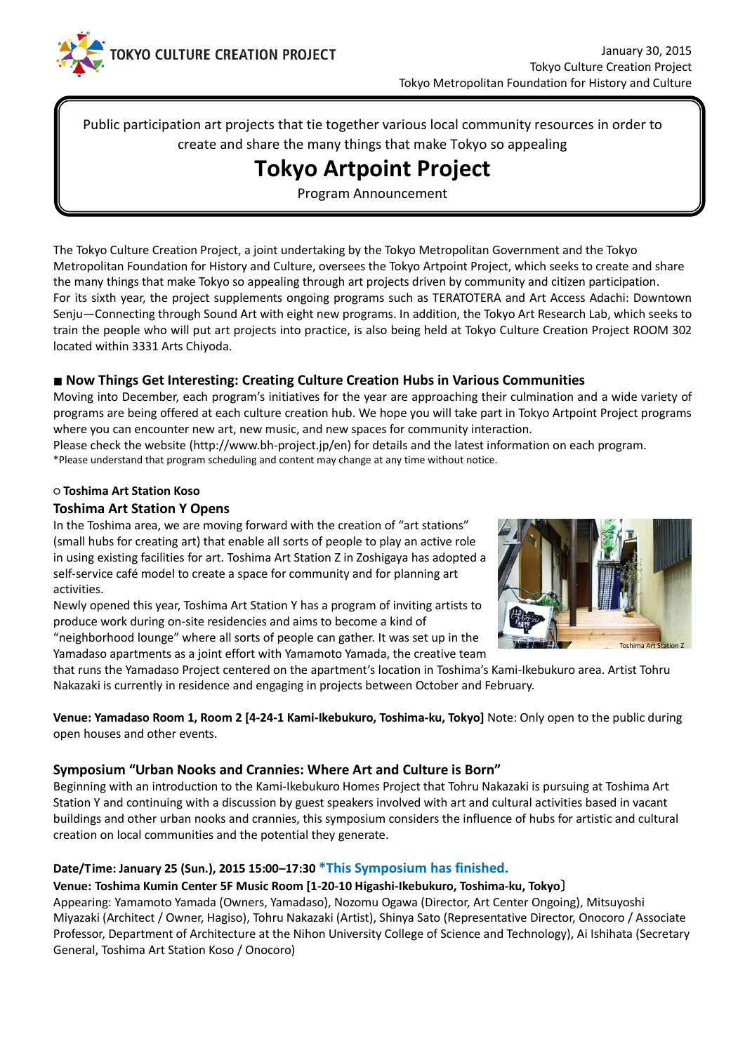

Public participation art projects that tie together various local community resources in order to create and share the many things that make Tokyo so appealing

# **Tokyo Artpoint Project**

Program Announcement

The Tokyo Culture Creation Project, a joint undertaking by the Tokyo Metropolitan Government and the Tokyo Metropolitan Foundation for History and Culture, oversees the Tokyo Artpoint Project, which seeks to create and share the many things that make Tokyo so appealing through art projects driven by community and citizen participation. For its sixth year, the project supplements ongoing programs such as TERATOTERA and Art Access Adachi: Downtown Senju—Connecting through Sound Art with eight new programs. In addition, the Tokyo Art Research Lab, which seeks to train the people who will put art projects into practice, is also being held at Tokyo Culture Creation Project ROOM 302 located within 3331 Arts Chiyoda.

# ■ **Now Things Get Interesting: Creating Culture Creation Hubs in Various Communities**

Moving into December, each program's initiatives for the year are approaching their culmination and a wide variety of programs are being offered at each culture creation hub. We hope you will take part in Tokyo Artpoint Project programs where you can encounter new art, new music, and new spaces for community interaction.

Please check the website [\(http://www.bh-project.jp/en\)](http://www.bh-project.jp/en) for details and the latest information on each program. \*Please understand that program scheduling and content may change at any time without notice.

#### **○ Toshima Art Station Koso**

#### **Toshima Art Station Y Opens**

In the Toshima area, we are moving forward with the creation of "art stations" (small hubs for creating art) that enable all sorts of people to play an active role in using existing facilities for art. Toshima Art Station Z in Zoshigaya has adopted a self-service café model to create a space for community and for planning art activities.

Newly opened this year, Toshima Art Station Y has a program of inviting artists to produce work during on-site residencies and aims to become a kind of "neighborhood lounge" where all sorts of people can gather. It was set up in the

Yamadaso apartments as a joint effort with Yamamoto Yamada, the creative team



that runs the Yamadaso Project centered on the apartment's location in Toshima's Kami-Ikebukuro area. Artist Tohru Nakazaki is currently in residence and engaging in projects between October and February.

**Venue: Yamadaso Room 1, Room 2 [4-24-1 Kami-Ikebukuro, Toshima-ku, Tokyo]** Note: Only open to the public during open houses and other events.

#### **Symposium "Urban Nooks and Crannies: Where Art and Culture is Born"**

Beginning with an introduction to the Kami-Ikebukuro Homes Project that Tohru Nakazaki is pursuing at Toshima Art Station Y and continuing with a discussion by guest speakers involved with art and cultural activities based in vacant buildings and other urban nooks and crannies, this symposium considers the influence of hubs for artistic and cultural creation on local communities and the potential they generate.

# **Date/Time: January 25 (Sun.), 2015 15:00–17:30 \*This Symposium has finished.**

#### **Venue: Toshima Kumin Center 5F Music Room [1-20-10 Higashi-Ikebukuro, Toshima-ku, Tokyo**〕

Appearing: Yamamoto Yamada (Owners, Yamadaso), Nozomu Ogawa (Director, Art Center Ongoing), Mitsuyoshi Miyazaki (Architect / Owner, Hagiso), Tohru Nakazaki (Artist), Shinya Sato (Representative Director, Onocoro / Associate Professor, Department of Architecture at the Nihon University College of Science and Technology), Ai Ishihata (Secretary General, Toshima Art Station Koso / Onocoro)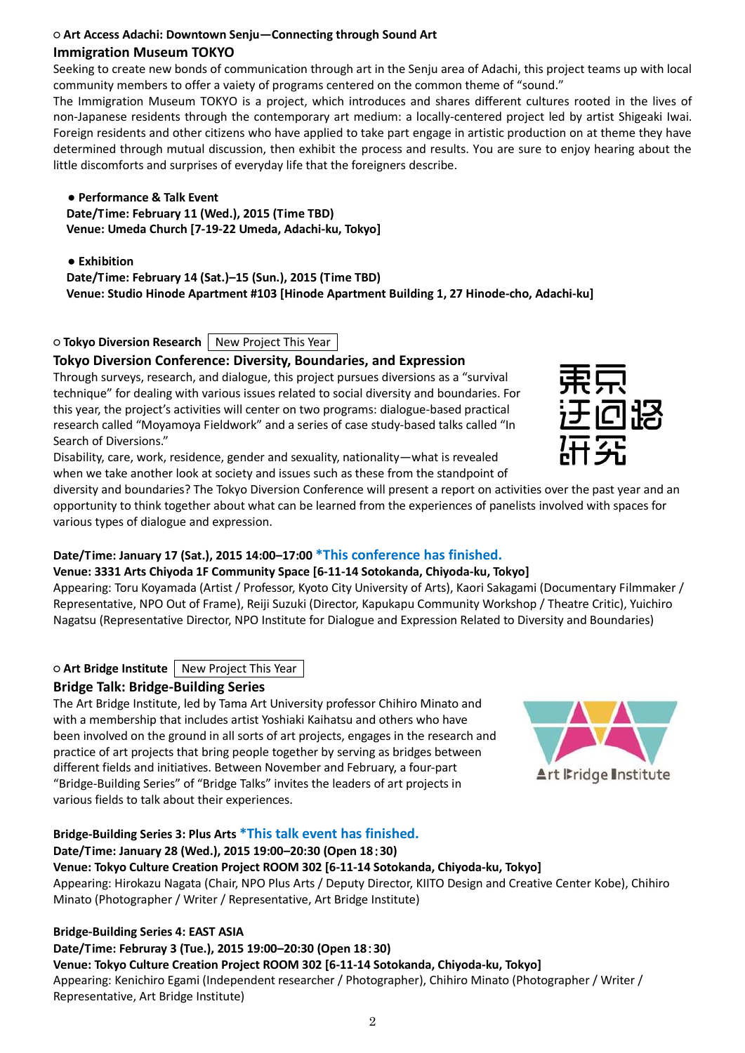#### ○ **Art Access Adachi: Downtown Senju—Connecting through Sound Art Immigration Museum TOKYO**

Seeking to create new bonds of communication through art in the Senju area of Adachi, this project teams up with local community members to offer a vaiety of programs centered on the common theme of "sound."

The Immigration Museum TOKYO is a project, which introduces and shares different cultures rooted in the lives of non-Japanese residents through the contemporary art medium: a locally-centered project led by artist Shigeaki Iwai. Foreign residents and other citizens who have applied to take part engage in artistic production on at theme they have determined through mutual discussion, then exhibit the process and results. You are sure to enjoy hearing about the little discomforts and surprises of everyday life that the foreigners describe.

**● Performance & Talk Event Date/Time: February 11 (Wed.), 2015 (Time TBD) Venue: Umeda Church [7-19-22 Umeda, Adachi-ku, Tokyo]**

#### **● Exhibition**

**Date/Time: February 14 (Sat.)–15 (Sun.), 2015 (Time TBD) Venue: Studio Hinode Apartment #103 [Hinode Apartment Building 1, 27 Hinode-cho, Adachi-ku]**

# ○ **Tokyo Diversion Research** New Project This Year

# **Tokyo Diversion Conference: Diversity, Boundaries, and Expression**

Through surveys, research, and dialogue, this project pursues diversions as a "survival technique" for dealing with various issues related to social diversity and boundaries. For this year, the project's activities will center on two programs: dialogue-based practical research called "Moyamoya Fieldwork" and a series of case study-based talks called "In Search of Diversions."

Disability, care, work, residence, gender and sexuality, nationality—what is revealed when we take another look at society and issues such as these from the standpoint of

diversity and boundaries? The Tokyo Diversion Conference will present a report on activities over the past year and an opportunity to think together about what can be learned from the experiences of panelists involved with spaces for various types of dialogue and expression.

# **Date/Time: January 17 (Sat.), 2015 14:00–17:00 \*This conference has finished.**

#### **Venue: 3331 Arts Chiyoda 1F Community Space [6-11-14 Sotokanda, Chiyoda-ku, Tokyo]**

Appearing: Toru Koyamada (Artist / Professor, Kyoto City University of Arts), Kaori Sakagami (Documentary Filmmaker / Representative, NPO Out of Frame), Reiji Suzuki (Director, Kapukapu Community Workshop / Theatre Critic), Yuichiro Nagatsu (Representative Director, NPO Institute for Dialogue and Expression Related to Diversity and Boundaries)

○ **Art Bridge Institute** New Project This Year

# **Bridge Talk: Bridge-Building Series**

The Art Bridge Institute, led by Tama Art University professor Chihiro Minato and with a membership that includes artist Yoshiaki Kaihatsu and others who have been involved on the ground in all sorts of art projects, engages in the research and practice of art projects that bring people together by serving as bridges between different fields and initiatives. Between November and February, a four-part "Bridge-Building Series" of "Bridge Talks" invites the leaders of art projects in various fields to talk about their experiences.

#### **Bridge-Building Series 3: Plus Arts \*This talk event has finished.**

# **Date/Time: January 28 (Wed.), 2015 19:00–20:30 (Open 18**:**30)**

**Venue: Tokyo Culture Creation Project ROOM 302 [6-11-14 Sotokanda, Chiyoda-ku, Tokyo]** Appearing: Hirokazu Nagata (Chair, NPO Plus Arts / Deputy Director, KIITO Design and Creative Center Kobe), Chihiro

Minato (Photographer / Writer / Representative, Art Bridge Institute)

#### **Bridge-Building Series 4: EAST ASIA**

**Date/Time: Februray 3 (Tue.), 2015 19:00–20:30 (Open 18**:**30)**

#### **Venue: Tokyo Culture Creation Project ROOM 302 [6-11-14 Sotokanda, Chiyoda-ku, Tokyo]**

Appearing: Kenichiro Egami (Independent researcher / Photographer), Chihiro Minato (Photographer / Writer / Representative, Art Bridge Institute)



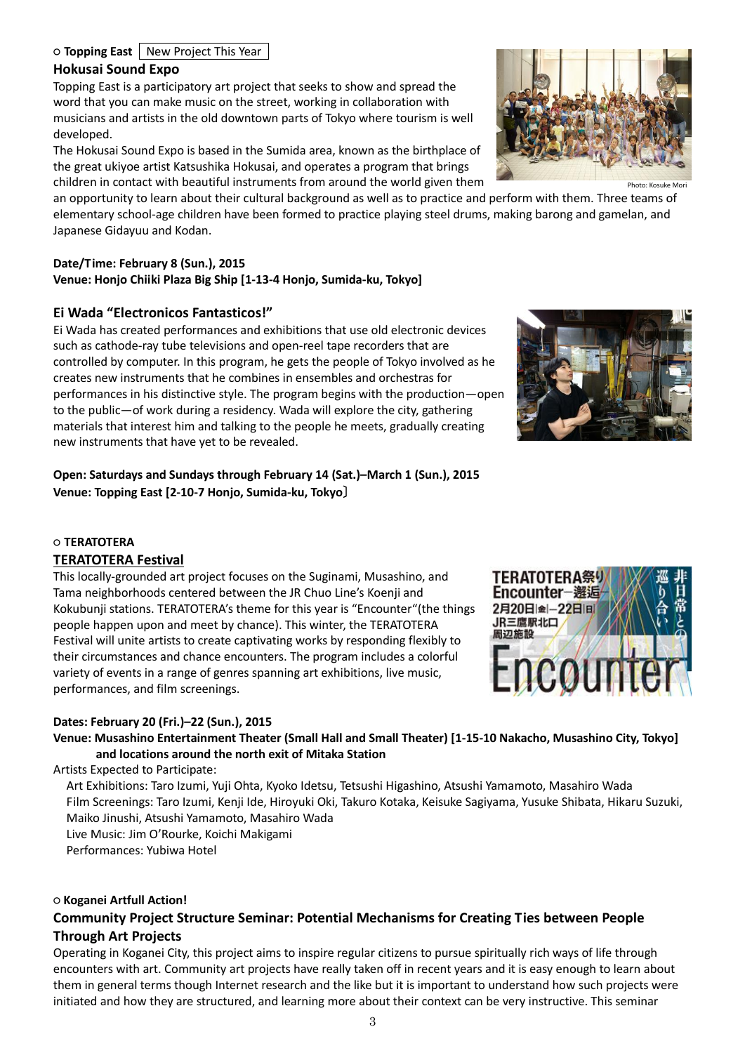# ○ **Topping East** New Project This Year

#### **Hokusai Sound Expo**

Topping East is a participatory art project that seeks to show and spread the word that you can make music on the street, working in collaboration with musicians and artists in the old downtown parts of Tokyo where tourism is well developed.

The Hokusai Sound Expo is based in the Sumida area, known as the birthplace of the great ukiyoe artist Katsushika Hokusai, and operates a program that brings children in contact with beautiful instruments from around the world given them

an opportunity to learn about their cultural background as well as to practice and perform with them. Three teams of elementary school-age children have been formed to practice playing steel drums, making barong and gamelan, and Japanese Gidayuu and Kodan.

### **Date/Time: February 8 (Sun.), 2015**

**Venue: Honjo Chiiki Plaza Big Ship [1-13-4 Honjo, Sumida-ku, Tokyo]**

### **Ei Wada "Electronicos Fantasticos!"**

Ei Wada has created performances and exhibitions that use old electronic devices such as cathode-ray tube televisions and open-reel tape recorders that are controlled by computer. In this program, he gets the people of Tokyo involved as he creates new instruments that he combines in ensembles and orchestras for performances in his distinctive style. The program begins with the production—open to the public—of work during a residency. Wada will explore the city, gathering materials that interest him and talking to the people he meets, gradually creating new instruments that have yet to be revealed.

**Open: Saturdays and Sundays through February 14 (Sat.)–March 1 (Sun.), 2015 Venue: Topping East [2-10-7 Honjo, Sumida-ku, Tokyo**〕

#### ○ **TERATOTERA**

#### **TERATOTERA Festival**

This locally-grounded art project focuses on the Suginami, Musashino, and Tama neighborhoods centered between the JR Chuo Line's Koenji and Kokubunji stations. TERATOTERA's theme for this year is "Encounter"(the things people happen upon and meet by chance). This winter, the TERATOTERA Festival will unite artists to create captivating works by responding flexibly to their circumstances and chance encounters. The program includes a colorful variety of events in a range of genres spanning art exhibitions, live music, performances, and film screenings.

#### **Dates: February 20 (Fri.)–22 (Sun.), 2015**

**Venue: Musashino Entertainment Theater (Small Hall and Small Theater) [1-15-10 Nakacho, Musashino City, Tokyo] and locations around the north exit of Mitaka Station**

Artists Expected to Participate:

Art Exhibitions: Taro Izumi, Yuji Ohta, Kyoko Idetsu, Tetsushi Higashino, Atsushi Yamamoto, Masahiro Wada Film Screenings: Taro Izumi, Kenji Ide, Hiroyuki Oki, Takuro Kotaka, Keisuke Sagiyama, Yusuke Shibata, Hikaru Suzuki, Maiko Jinushi, Atsushi Yamamoto, Masahiro Wada Live Music: Jim O'Rourke, Koichi Makigami Performances: Yubiwa Hotel

#### ○ **Koganei Artfull Action!**

# **Community Project Structure Seminar: Potential Mechanisms for Creating Ties between People Through Art Projects**

Operating in Koganei City, this project aims to inspire regular citizens to pursue spiritually rich ways of life through encounters with art. Community art projects have really taken off in recent years and it is easy enough to learn about them in general terms though Internet research and the like but it is important to understand how such projects were initiated and how they are structured, and learning more about their context can be very instructive. This seminar



TERATOTERA祭! Encounter-邂逅 2月20日金-22日间 JR三鷹駅北口 周辺施設

COU



Photo: Kosuke Mori